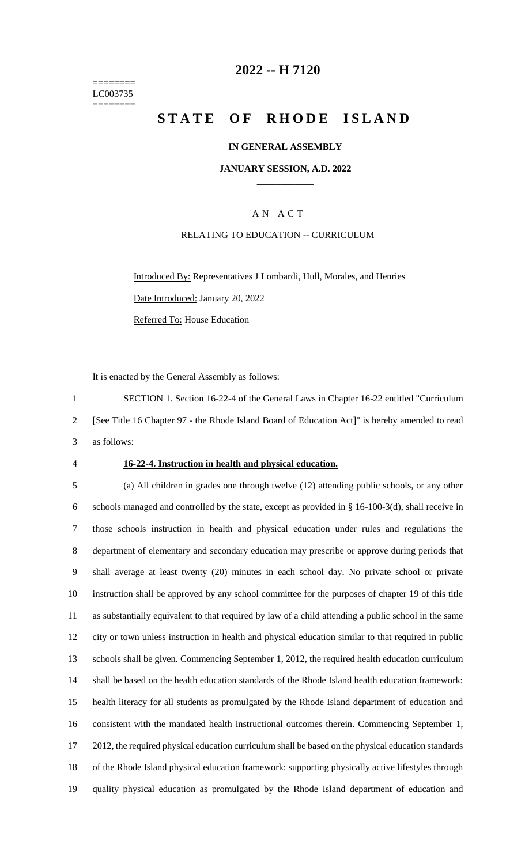======== LC003735 ========

# **-- H 7120**

# **S T A T E O F R H O D E I S L A N D**

### **IN GENERAL ASSEMBLY**

#### **JANUARY SESSION, A.D. 2022 \_\_\_\_\_\_\_\_\_\_\_\_**

### A N A C T

#### RELATING TO EDUCATION -- CURRICULUM

Introduced By: Representatives J Lombardi, Hull, Morales, and Henries Date Introduced: January 20, 2022 Referred To: House Education

It is enacted by the General Assembly as follows:

 SECTION 1. Section 16-22-4 of the General Laws in Chapter 16-22 entitled "Curriculum [See Title 16 Chapter 97 - the Rhode Island Board of Education Act]" is hereby amended to read as follows:

#### **16-22-4. Instruction in health and physical education.**

 (a) All children in grades one through twelve (12) attending public schools, or any other schools managed and controlled by the state, except as provided in § 16-100-3(d), shall receive in those schools instruction in health and physical education under rules and regulations the department of elementary and secondary education may prescribe or approve during periods that shall average at least twenty (20) minutes in each school day. No private school or private instruction shall be approved by any school committee for the purposes of chapter 19 of this title as substantially equivalent to that required by law of a child attending a public school in the same city or town unless instruction in health and physical education similar to that required in public schools shall be given. Commencing September 1, 2012, the required health education curriculum shall be based on the health education standards of the Rhode Island health education framework: health literacy for all students as promulgated by the Rhode Island department of education and consistent with the mandated health instructional outcomes therein. Commencing September 1, 2012, the required physical education curriculum shall be based on the physical education standards of the Rhode Island physical education framework: supporting physically active lifestyles through quality physical education as promulgated by the Rhode Island department of education and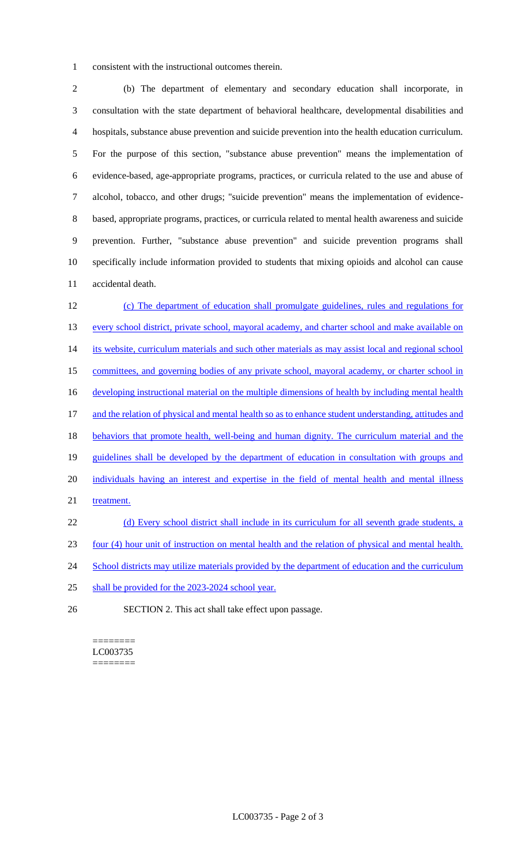1 consistent with the instructional outcomes therein.

 (b) The department of elementary and secondary education shall incorporate, in consultation with the state department of behavioral healthcare, developmental disabilities and hospitals, substance abuse prevention and suicide prevention into the health education curriculum. For the purpose of this section, "substance abuse prevention" means the implementation of evidence-based, age-appropriate programs, practices, or curricula related to the use and abuse of alcohol, tobacco, and other drugs; "suicide prevention" means the implementation of evidence- based, appropriate programs, practices, or curricula related to mental health awareness and suicide prevention. Further, "substance abuse prevention" and suicide prevention programs shall specifically include information provided to students that mixing opioids and alcohol can cause accidental death.

12 (c) The department of education shall promulgate guidelines, rules and regulations for 13 every school district, private school, mayoral academy, and charter school and make available on 14 its website, curriculum materials and such other materials as may assist local and regional school 15 committees, and governing bodies of any private school, mayoral academy, or charter school in 16 developing instructional material on the multiple dimensions of health by including mental health 17 and the relation of physical and mental health so as to enhance student understanding, attitudes and 18 behaviors that promote health, well-being and human dignity. The curriculum material and the 19 guidelines shall be developed by the department of education in consultation with groups and 20 individuals having an interest and expertise in the field of mental health and mental illness 21 treatment. 22 (d) Every school district shall include in its curriculum for all seventh grade students, a 23 four (4) hour unit of instruction on mental health and the relation of physical and mental health. 24 School districts may utilize materials provided by the department of education and the curriculum

25 shall be provided for the 2023-2024 school year.

26 SECTION 2. This act shall take effect upon passage.

#### ======== LC003735 ========